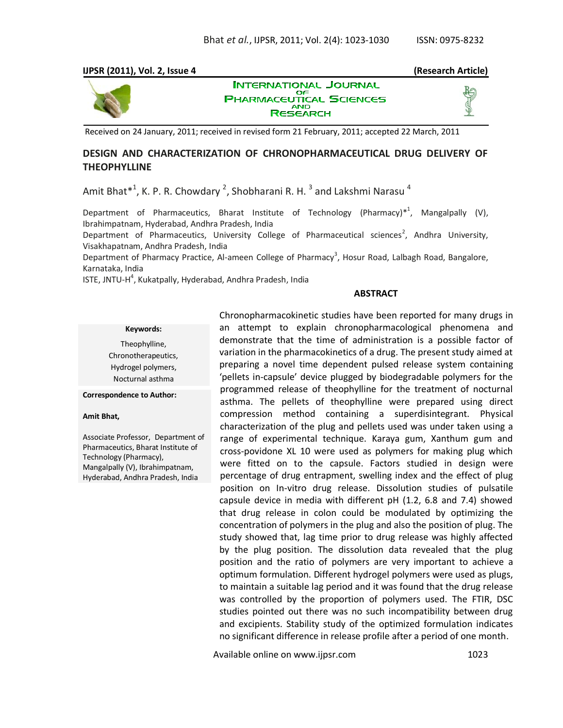### **IJPSR (2011), Vol. 2, Issue 4 (Research Article)**



**INTERNATIONAL JOURNAL** ОF **PHARMACEUTICAL SCIENCES RESEARCH** 

Received on 24 January, 2011; received in revised form 21 February, 2011; accepted 22 March, 2011

## **DESIGN AND CHARACTERIZATION OF CHRONOPHARMACEUTICAL DRUG DELIVERY OF THEOPHYLLINE**

Amit Bhat $^{\ast 1}$ , K. P. R. Chowdary  $^2$ , Shobharani R. H.  $^3$  and Lakshmi Narasu  $^4$ 

Department of Pharmaceutics, Bharat Institute of Technology (Pharmacy)<sup>\*1</sup>, Mangalpally (V), Ibrahimpatnam, Hyderabad, Andhra Pradesh, India Department of Pharmaceutics, University College of Pharmaceutical sciences<sup>2</sup>, Andhra University,

Visakhapatnam, Andhra Pradesh, India

Department of Pharmacy Practice, Al-ameen College of Pharmacy<sup>3</sup>, Hosur Road, Lalbagh Road, Bangalore, Karnataka, India

ISTE, JNTU-H<sup>4</sup>, Kukatpally, Hyderabad, Andhra Pradesh, India

#### **ABSTRACT**

#### **Keywords:**

Theophylline, Chronotherapeutics, Hydrogel polymers, Nocturnal asthma

#### **Correspondence to Author:**

#### **Amit Bhat,**

Associate Professor, Department of Pharmaceutics, Bharat Institute of Technology (Pharmacy), Mangalpally (V), Ibrahimpatnam, Hyderabad, Andhra Pradesh, India

Chronopharmacokinetic studies have been reported for many drugs in an attempt to explain chronopharmacological phenomena and demonstrate that the time of administration is a possible factor of variation in the pharmacokinetics of a drug. The present study aimed at preparing a novel time dependent pulsed release system containing 'pellets in-capsule' device plugged by biodegradable polymers for the programmed release of theophylline for the treatment of nocturnal asthma. The pellets of theophylline were prepared using direct compression method containing a superdisintegrant. Physical characterization of the plug and pellets used was under taken using a range of experimental technique. Karaya gum, Xanthum gum and cross-povidone XL 10 were used as polymers for making plug which were fitted on to the capsule. Factors studied in design were percentage of drug entrapment, swelling index and the effect of plug position on In-vitro drug release. Dissolution studies of pulsatile capsule device in media with different pH (1.2, 6.8 and 7.4) showed that drug release in colon could be modulated by optimizing the concentration of polymers in the plug and also the position of plug. The study showed that, lag time prior to drug release was highly affected by the plug position. The dissolution data revealed that the plug position and the ratio of polymers are very important to achieve a optimum formulation. Different hydrogel polymers were used as plugs, to maintain a suitable lag period and it was found that the drug release was controlled by the proportion of polymers used. The FTIR, DSC studies pointed out there was no such incompatibility between drug and excipients. Stability study of the optimized formulation indicates no significant difference in release profile after a period of one month.

Available online on www.ijpsr.com 1023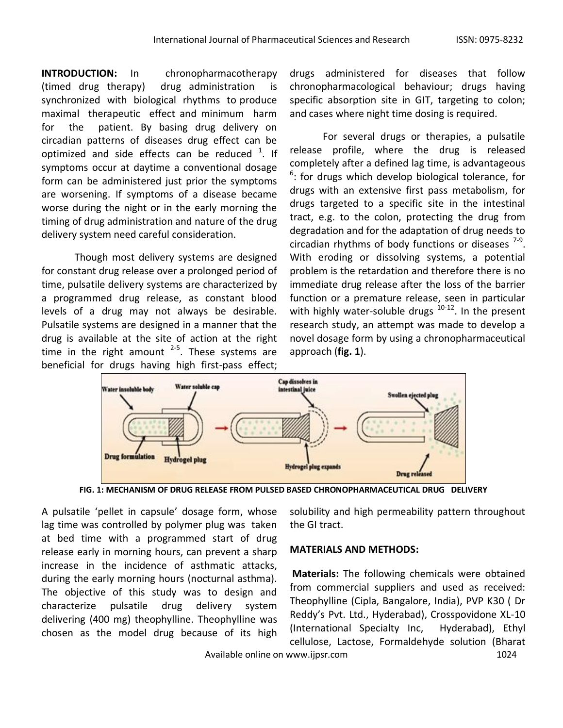**INTRODUCTION:** In chronopharmacotherapy (timed drug therapy) drug administration is synchronized with biological rhythms to produce maximal therapeutic effect and minimum harm for the patient. By basing drug delivery on circadian patterns of diseases drug effect can be optimized and side effects can be reduced  $1$ . If symptoms occur at daytime a conventional dosage form can be administered just prior the symptoms are worsening. If symptoms of a disease became worse during the night or in the early morning the timing of drug administration and nature of the drug delivery system need careful consideration.

Though most delivery systems are designed for constant drug release over a prolonged period of time, pulsatile delivery systems are characterized by a programmed drug release, as constant blood levels of a drug may not always be desirable. Pulsatile systems are designed in a manner that the drug is available at the site of action at the right time in the right amount  $2-5$ . These systems are beneficial for drugs having high first-pass effect;

drugs administered for diseases that follow chronopharmacological behaviour; drugs having specific absorption site in GIT, targeting to colon; and cases where night time dosing is required.

For several drugs or therapies, a pulsatile release profile, where the drug is released completely after a defined lag time, is advantageous <sup>6</sup>: for drugs which develop biological tolerance, for drugs with an extensive first pass metabolism, for drugs targeted to a specific site in the intestinal tract, e.g. to the colon, protecting the drug from degradation and for the adaptation of drug needs to circadian rhythms of body functions or diseases  $7-9$ . With eroding or dissolving systems, a potential problem is the retardation and therefore there is no immediate drug release after the loss of the barrier function or a premature release, seen in particular with highly water-soluble drugs  $10-12$ . In the present research study, an attempt was made to develop a novel dosage form by using a chronopharmaceutical approach (**fig. 1**).



**FIG. 1: MECHANISM OF DRUG RELEASE FROM PULSED BASED CHRONOPHARMACEUTICAL DRUG DELIVERY**

A pulsatile 'pellet in capsule' dosage form, whose lag time was controlled by polymer plug was taken at bed time with a programmed start of drug release early in morning hours, can prevent a sharp increase in the incidence of asthmatic attacks, during the early morning hours (nocturnal asthma). The objective of this study was to design and characterize pulsatile drug delivery system delivering (400 mg) theophylline. Theophylline was chosen as the model drug because of its high solubility and high permeability pattern throughout the GI tract.

## **MATERIALS AND METHODS:**

**Materials:** The following chemicals were obtained from commercial suppliers and used as received: Theophylline (Cipla, Bangalore, India), PVP K30 ( Dr Reddy's Pvt. Ltd., Hyderabad), Crosspovidone XL-10 (International Specialty Inc, Hyderabad), Ethyl cellulose, Lactose, Formaldehyde solution (Bharat

Available online on www.ijpsr.com 1024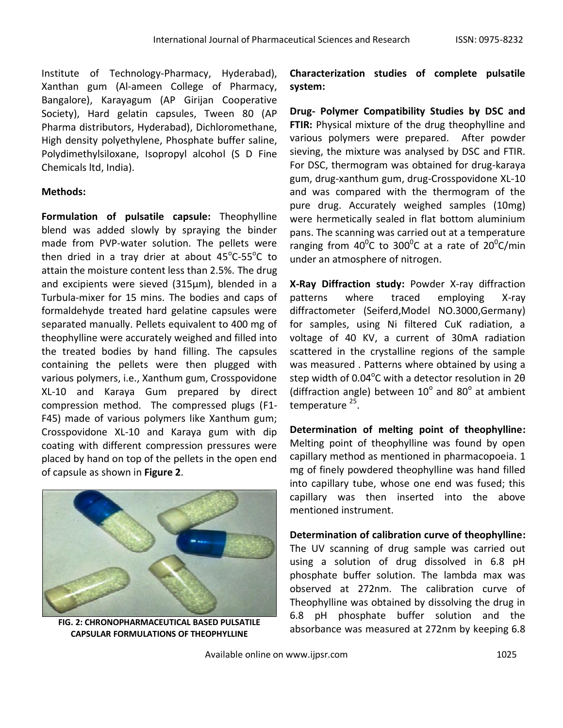Institute of Technology-Pharmacy, Hyderabad), Xanthan gum (Al-ameen College of Pharmacy, Bangalore), Karayagum (AP Girijan Cooperative Society), Hard gelatin capsules, Tween 80 (AP Pharma distributors, Hyderabad), Dichloromethane, High density polyethylene, Phosphate buffer saline, Polydimethylsiloxane, Isopropyl alcohol (S D Fine Chemicals ltd, India).

# **Methods:**

**Formulation of pulsatile capsule:** Theophylline blend was added slowly by spraying the binder made from PVP-water solution. The pellets were then dried in a tray drier at about  $45^{\circ}$ C-55 $^{\circ}$ C to attain the moisture content less than 2.5%. The drug and excipients were sieved (315µm), blended in a Turbula-mixer for 15 mins. The bodies and caps of formaldehyde treated hard gelatine capsules were separated manually. Pellets equivalent to 400 mg of theophylline were accurately weighed and filled into the treated bodies by hand filling. The capsules containing the pellets were then plugged with various polymers, i.e., Xanthum gum, Crosspovidone XL-10 and Karaya Gum prepared by direct compression method. The compressed plugs (F1- F45) made of various polymers like Xanthum gum; Crosspovidone XL-10 and Karaya gum with dip coating with different compression pressures were placed by hand on top of the pellets in the open end of capsule as shown in **Figure 2**.



**FIG. 2: CHRONOPHARMACEUTICAL BASED PULSATILE CAPSULAR FORMULATIONS OF THEOPHYLLINE**

**Characterization studies of complete pulsatile system:**

**Drug- Polymer Compatibility Studies by DSC and FTIR:** Physical mixture of the drug theophylline and various polymers were prepared. After powder sieving, the mixture was analysed by DSC and FTIR. For DSC, thermogram was obtained for drug-karaya gum, drug-xanthum gum, drug-Crosspovidone XL-10 and was compared with the thermogram of the pure drug. Accurately weighed samples (10mg) were hermetically sealed in flat bottom aluminium pans. The scanning was carried out at a temperature ranging from 40<sup>0</sup>C to 300<sup>0</sup>C at a rate of 20<sup>0</sup>C/min under an atmosphere of nitrogen.

**X-Ray Diffraction study:** Powder X-ray diffraction patterns where traced employing X-ray diffractometer (Seiferd,Model NO.3000,Germany) for samples, using Ni filtered CuK radiation, a voltage of 40 KV, a current of 30mA radiation scattered in the crystalline regions of the sample was measured . Patterns where obtained by using a step width of 0.04 $^{\circ}$ C with a detector resolution in 2 $\theta$ (diffraction angle) between  $10^{\circ}$  and  $80^{\circ}$  at ambient temperature<sup>25</sup>.

**Determination of melting point of theophylline:**  Melting point of theophylline was found by open capillary method as mentioned in pharmacopoeia. 1 mg of finely powdered theophylline was hand filled into capillary tube, whose one end was fused; this capillary was then inserted into the above mentioned instrument.

**Determination of calibration curve of theophylline:**  The UV scanning of drug sample was carried out using a solution of drug dissolved in 6.8 pH phosphate buffer solution. The lambda max was observed at 272nm. The calibration curve of Theophylline was obtained by dissolving the drug in 6.8 pH phosphate buffer solution and the absorbance was measured at 272nm by keeping 6.8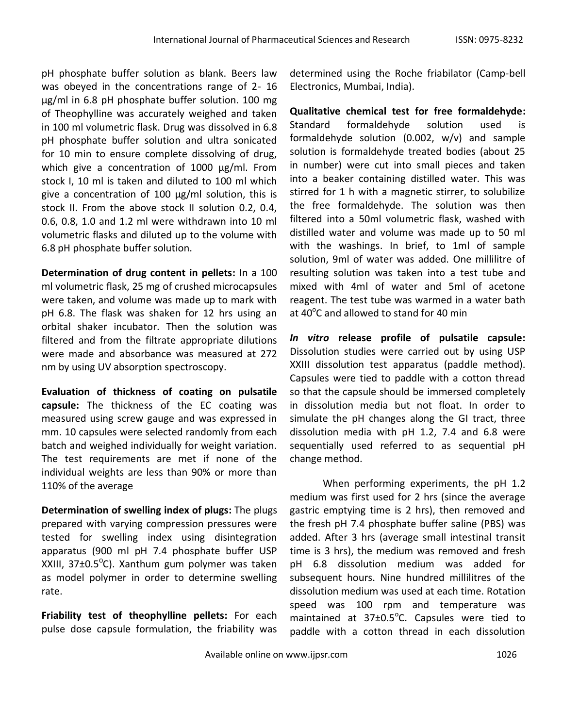pH phosphate buffer solution as blank. Beers law was obeyed in the concentrations range of 2- 16 μg/ml in 6.8 pH phosphate buffer solution. 100 mg of Theophylline was accurately weighed and taken in 100 ml volumetric flask. Drug was dissolved in 6.8 pH phosphate buffer solution and ultra sonicated for 10 min to ensure complete dissolving of drug, which give a concentration of 1000 µg/ml. From stock I, 10 ml is taken and diluted to 100 ml which give a concentration of 100  $\mu$ g/ml solution, this is stock II. From the above stock II solution 0.2, 0.4, 0.6, 0.8, 1.0 and 1.2 ml were withdrawn into 10 ml volumetric flasks and diluted up to the volume with 6.8 pH phosphate buffer solution.

**Determination of drug content in pellets:** In a 100 ml volumetric flask, 25 mg of crushed microcapsules were taken, and volume was made up to mark with pH 6.8. The flask was shaken for 12 hrs using an orbital shaker incubator. Then the solution was filtered and from the filtrate appropriate dilutions were made and absorbance was measured at 272 nm by using UV absorption spectroscopy.

**Evaluation of thickness of coating on pulsatile capsule:** The thickness of the EC coating was measured using screw gauge and was expressed in mm. 10 capsules were selected randomly from each batch and weighed individually for weight variation. The test requirements are met if none of the individual weights are less than 90% or more than 110% of the average

**Determination of swelling index of plugs:** The plugs prepared with varying compression pressures were tested for swelling index using disintegration apparatus (900 ml pH 7.4 phosphate buffer USP XXIII, 37±0.5<sup>o</sup>C). Xanthum gum polymer was taken as model polymer in order to determine swelling rate.

**Friability test of theophylline pellets:** For each pulse dose capsule formulation, the friability was

determined using the Roche friabilator (Camp-bell Electronics, Mumbai, India).

**Qualitative chemical test for free formaldehyde:**  Standard formaldehyde solution used is formaldehyde solution (0.002, w/v) and sample solution is formaldehyde treated bodies (about 25 in number) were cut into small pieces and taken into a beaker containing distilled water. This was stirred for 1 h with a magnetic stirrer, to solubilize the free formaldehyde. The solution was then filtered into a 50ml volumetric flask, washed with distilled water and volume was made up to 50 ml with the washings. In brief, to 1ml of sample solution, 9ml of water was added. One millilitre of resulting solution was taken into a test tube and mixed with 4ml of water and 5ml of acetone reagent. The test tube was warmed in a water bath at  $40^{\circ}$ C and allowed to stand for 40 min

*In vitro* **release profile of pulsatile capsule:**  Dissolution studies were carried out by using USP XXIII dissolution test apparatus (paddle method). Capsules were tied to paddle with a cotton thread so that the capsule should be immersed completely in dissolution media but not float. In order to simulate the pH changes along the GI tract, three dissolution media with pH 1.2, 7.4 and 6.8 were sequentially used referred to as sequential pH change method.

When performing experiments, the pH 1.2 medium was first used for 2 hrs (since the average gastric emptying time is 2 hrs), then removed and the fresh pH 7.4 phosphate buffer saline (PBS) was added. After 3 hrs (average small intestinal transit time is 3 hrs), the medium was removed and fresh pH 6.8 dissolution medium was added for subsequent hours. Nine hundred millilitres of the dissolution medium was used at each time. Rotation speed was 100 rpm and temperature was maintained at  $37\pm0.5^{\circ}$ C. Capsules were tied to paddle with a cotton thread in each dissolution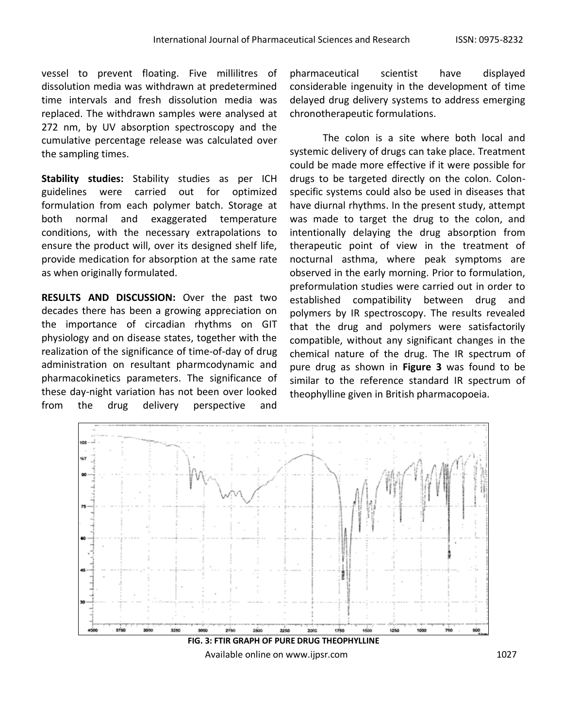vessel to prevent floating. Five millilitres of dissolution media was withdrawn at predetermined time intervals and fresh dissolution media was replaced. The withdrawn samples were analysed at 272 nm, by UV absorption spectroscopy and the cumulative percentage release was calculated over the sampling times.

**Stability studies:** Stability studies as per ICH guidelines were carried out for optimized formulation from each polymer batch. Storage at both normal and exaggerated temperature conditions, with the necessary extrapolations to ensure the product will, over its designed shelf life, provide medication for absorption at the same rate as when originally formulated.

**RESULTS AND DISCUSSION:** Over the past two decades there has been a growing appreciation on the importance of circadian rhythms on GIT physiology and on disease states, together with the realization of the significance of time-of-day of drug administration on resultant pharmcodynamic and pharmacokinetics parameters. The significance of these day-night variation has not been over looked from the drug delivery perspective and

pharmaceutical scientist have displayed considerable ingenuity in the development of time delayed drug delivery systems to address emerging chronotherapeutic formulations.

The colon is a site where both local and systemic delivery of drugs can take place. Treatment could be made more effective if it were possible for drugs to be targeted directly on the colon. Colonspecific systems could also be used in diseases that have diurnal rhythms. In the present study, attempt was made to target the drug to the colon, and intentionally delaying the drug absorption from therapeutic point of view in the treatment of nocturnal asthma, where peak symptoms are observed in the early morning. Prior to formulation, preformulation studies were carried out in order to established compatibility between drug and polymers by IR spectroscopy. The results revealed that the drug and polymers were satisfactorily compatible, without any significant changes in the chemical nature of the drug. The IR spectrum of pure drug as shown in **Figure 3** was found to be similar to the reference standard IR spectrum of theophylline given in British pharmacopoeia.



Available online on www.ijpsr.com 1027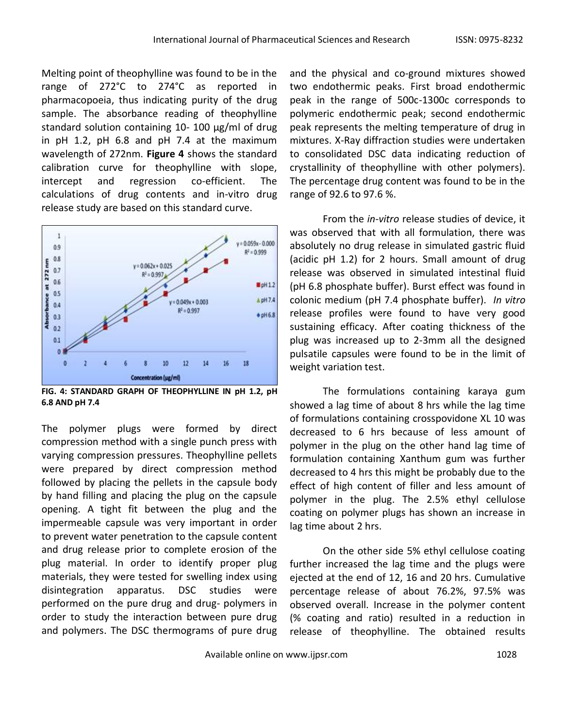Melting point of theophylline was found to be in the range of 272°C to 274°C as reported in pharmacopoeia, thus indicating purity of the drug sample. The absorbance reading of theophylline standard solution containing 10- 100 μg/ml of drug in pH 1.2, pH 6.8 and pH 7.4 at the maximum wavelength of 272nm. **Figure 4** shows the standard calibration curve for theophylline with slope, intercept and regression co-efficient. The calculations of drug contents and in-vitro drug release study are based on this standard curve.



**FIG. 4: STANDARD GRAPH OF THEOPHYLLINE IN pH 1.2, pH 6.8 AND pH 7.4**

The polymer plugs were formed by direct compression method with a single punch press with varying compression pressures. Theophylline pellets were prepared by direct compression method followed by placing the pellets in the capsule body by hand filling and placing the plug on the capsule opening. A tight fit between the plug and the impermeable capsule was very important in order to prevent water penetration to the capsule content and drug release prior to complete erosion of the plug material. In order to identify proper plug materials, they were tested for swelling index using disintegration apparatus. DSC studies were performed on the pure drug and drug- polymers in order to study the interaction between pure drug and polymers. The DSC thermograms of pure drug

and the physical and co-ground mixtures showed two endothermic peaks. First broad endothermic peak in the range of 500c-1300c corresponds to polymeric endothermic peak; second endothermic peak represents the melting temperature of drug in mixtures. X-Ray diffraction studies were undertaken to consolidated DSC data indicating reduction of crystallinity of theophylline with other polymers). The percentage drug content was found to be in the range of 92.6 to 97.6 %.

From the *in-vitro* release studies of device, it was observed that with all formulation, there was absolutely no drug release in simulated gastric fluid (acidic pH 1.2) for 2 hours. Small amount of drug release was observed in simulated intestinal fluid (pH 6.8 phosphate buffer). Burst effect was found in colonic medium (pH 7.4 phosphate buffer). *In vitro* release profiles were found to have very good sustaining efficacy. After coating thickness of the plug was increased up to 2-3mm all the designed pulsatile capsules were found to be in the limit of weight variation test.

The formulations containing karaya gum showed a lag time of about 8 hrs while the lag time of formulations containing crosspovidone XL 10 was decreased to 6 hrs because of less amount of polymer in the plug on the other hand lag time of formulation containing Xanthum gum was further decreased to 4 hrs this might be probably due to the effect of high content of filler and less amount of polymer in the plug. The 2.5% ethyl cellulose coating on polymer plugs has shown an increase in lag time about 2 hrs.

On the other side 5% ethyl cellulose coating further increased the lag time and the plugs were ejected at the end of 12, 16 and 20 hrs. Cumulative percentage release of about 76.2%, 97.5% was observed overall. Increase in the polymer content (% coating and ratio) resulted in a reduction in release of theophylline. The obtained results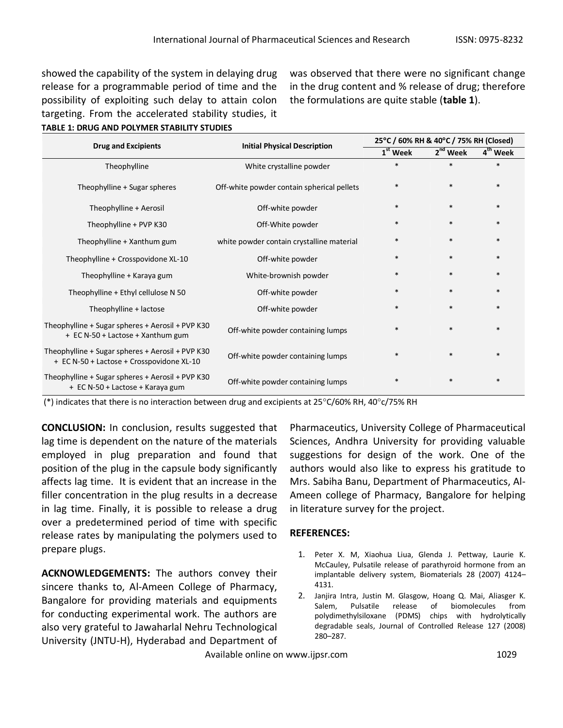showed the capability of the system in delaying drug release for a programmable period of time and the possibility of exploiting such delay to attain colon targeting. From the accelerated stability studies, it **TABLE 1: DRUG AND POLYMER STABILITY STUDIES**

was observed that there were no significant change in the drug content and % release of drug; therefore the formulations are quite stable (**table 1**).

| <b>Drug and Excipients</b>                                                                    | <b>Initial Physical Description</b>        | 25°C / 60% RH & 40°C / 75% RH (Closed) |                      |                      |
|-----------------------------------------------------------------------------------------------|--------------------------------------------|----------------------------------------|----------------------|----------------------|
|                                                                                               |                                            | 1 <sup>st</sup> Week                   | 2 <sup>nd</sup> Week | 4 <sup>th</sup> Week |
| Theophylline                                                                                  | White crystalline powder                   | $\ast$                                 | $\ast$               | $\ast$               |
| Theophylline + Sugar spheres                                                                  | Off-white powder contain spherical pellets | $\ast$                                 | $\ast$               | $\ast$               |
| Theophylline + Aerosil                                                                        | Off-white powder                           | $\ast$                                 | $\ast$               | $\ast$               |
| Theophylline + PVP K30                                                                        | Off-White powder                           | $\ast$                                 | $\ast$               | $\ast$               |
| Theophylline + Xanthum gum                                                                    | white powder contain crystalline material  | $\ast$                                 | $\ast$               | $\ast$               |
| Theophylline + Crosspovidone XL-10                                                            | Off-white powder                           | $\ast$                                 | $\ast$               | $\ast$               |
| Theophylline + Karaya gum                                                                     | White-brownish powder                      | $\ast$                                 | $\ast$               | $\ast$               |
| Theophylline + Ethyl cellulose N 50                                                           | Off-white powder                           | $\ast$                                 | $\ast$               | $\ast$               |
| Theophylline + lactose                                                                        | Off-white powder                           | $\ast$                                 | $\ast$               | $\ast$               |
| Theophylline + Sugar spheres + Aerosil + PVP K30<br>+ EC N-50 + Lactose + Xanthum gum         | Off-white powder containing lumps          | $\ast$                                 | $\ast$               |                      |
| Theophylline + Sugar spheres + Aerosil + PVP K30<br>+ EC N-50 + Lactose + Crosspovidone XL-10 | Off-white powder containing lumps          | $\ast$                                 | $\ast$               | $\ast$               |
| Theophylline + Sugar spheres + Aerosil + PVP K30<br>+ EC N-50 + Lactose + Karaya gum          | Off-white powder containing lumps          | $\ast$                                 | $\ast$               | $\ast$               |

(\*) indicates that there is no interaction between drug and excipients at 25°C/60% RH, 40°c/75% RH

**CONCLUSION:** In conclusion, results suggested that lag time is dependent on the nature of the materials employed in plug preparation and found that position of the plug in the capsule body significantly affects lag time. It is evident that an increase in the filler concentration in the plug results in a decrease in lag time. Finally, it is possible to release a drug over a predetermined period of time with specific release rates by manipulating the polymers used to prepare plugs.

**ACKNOWLEDGEMENTS:** The authors convey their sincere thanks to, Al-Ameen College of Pharmacy, Bangalore for providing materials and equipments for conducting experimental work. The authors are also very grateful to Jawaharlal Nehru Technological University (JNTU-H), Hyderabad and Department of

Pharmaceutics, University College of Pharmaceutical Sciences, Andhra University for providing valuable suggestions for design of the work. One of the authors would also like to express his gratitude to Mrs. Sabiha Banu, Department of Pharmaceutics, Al-Ameen college of Pharmacy, Bangalore for helping in literature survey for the project.

### **REFERENCES:**

- 1. Peter X. M, Xiaohua Liua, Glenda J. Pettway, Laurie K. McCauley, Pulsatile release of parathyroid hormone from an implantable delivery system, Biomaterials 28 (2007) 4124– 4131.
- 2. Janjira Intra, Justin M. Glasgow, Hoang Q. Mai, Aliasger K. Salem, Pulsatile release of biomolecules from polydimethylsiloxane (PDMS) chips with hydrolytically degradable seals, Journal of Controlled Release 127 (2008) 280–287.

Available online on www.ijpsr.com 1029